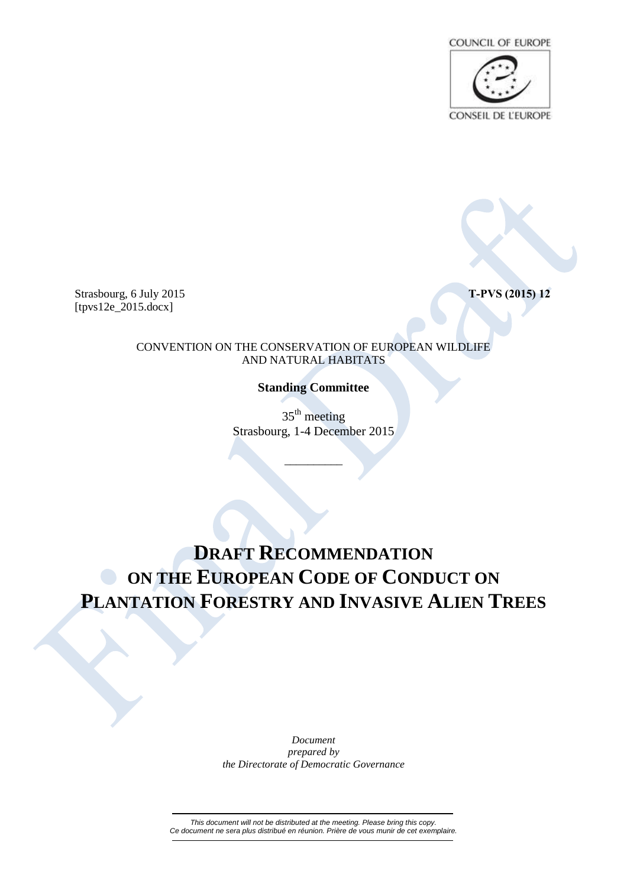

Strasbourg, 6 July 2015 **T-PVS (2015) 12** [tpvs12e\_2015.docx]

CONVENTION ON THE CONSERVATION OF EUROPEAN WILDLIFE AND NATURAL HABITATS

**Standing Committee**

 $35<sup>th</sup>$  meeting Strasbourg, 1-4 December 2015

\_\_\_\_\_\_\_\_\_\_

## **DRAFT RECOMMENDATION ON THE EUROPEAN CODE OF CONDUCT ON PLANTATION FORESTRY AND INVASIVE ALIEN TREES**

*Document prepared by the Directorate of Democratic Governance*

*This document will not be distributed at the meeting. Please bring this copy. Ce document ne sera plus distribué en réunion. Prière de vous munir de cet exemplaire.*